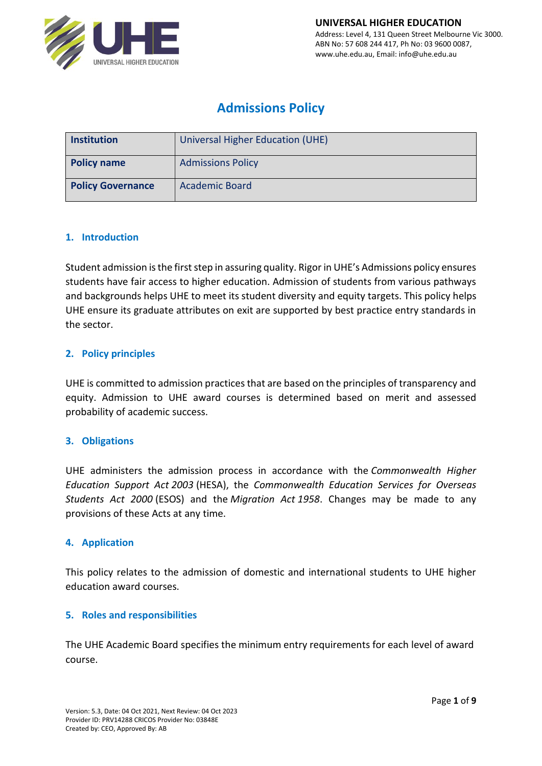

# **Admissions Policy**

| <b>Institution</b>       | Universal Higher Education (UHE) |  |  |  |  |
|--------------------------|----------------------------------|--|--|--|--|
| <b>Policy name</b>       | <b>Admissions Policy</b>         |  |  |  |  |
| <b>Policy Governance</b> | <b>Academic Board</b>            |  |  |  |  |

#### **1. Introduction**

Student admission is the first step in assuring quality. Rigor in UHE's Admissions policy ensures students have fair access to higher education. Admission of students from various pathways and backgrounds helps UHE to meet its student diversity and equity targets. This policy helps UHE ensure its graduate attributes on exit are supported by best practice entry standards in the sector.

### **2. Policy principles**

UHE is committed to admission practices that are based on the principles of transparency and equity. Admission to UHE award courses is determined based on merit and assessed probability of academic success.

#### **3. Obligations**

UHE administers the admission process in accordance with the *Commonwealth Higher Education Support Act 2003* (HESA), the *Commonwealth Education Services for Overseas Students Act 2000* (ESOS) and the *Migration Act 1958*. Changes may be made to any provisions of these Acts at any time.

#### **4. Application**

This policy relates to the admission of domestic and international students to UHE higher education award courses.

#### **5. Roles and responsibilities**

The UHE Academic Board specifies the minimum entry requirements for each level of award course.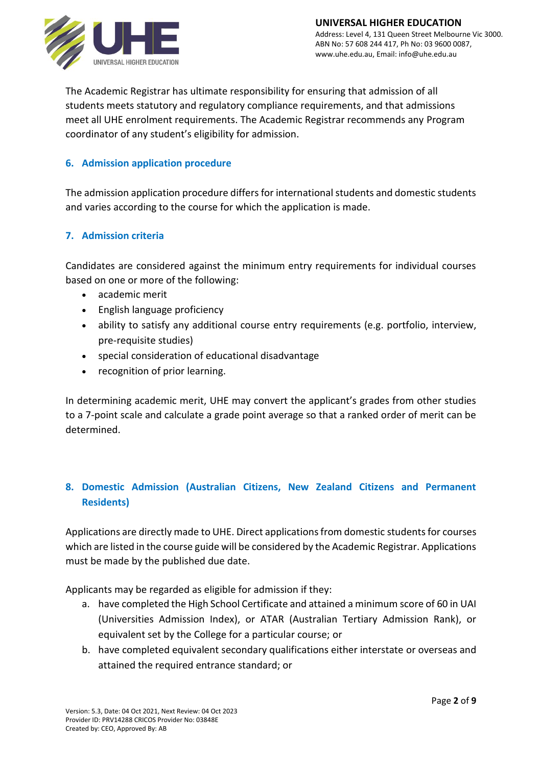

The Academic Registrar has ultimate responsibility for ensuring that admission of all students meets statutory and regulatory compliance requirements, and that admissions meet all UHE enrolment requirements. The Academic Registrar recommends any Program coordinator of any student's eligibility for admission.

# **6. Admission application procedure**

The admission application procedure differs for international students and domestic students and varies according to the course for which the application is made.

### **7. Admission criteria**

Candidates are considered against the minimum entry requirements for individual courses based on one or more of the following:

- academic merit
- English language proficiency
- ability to satisfy any additional course entry requirements (e.g. portfolio, interview, pre-requisite studies)
- special consideration of educational disadvantage
- recognition of prior learning.

In determining academic merit, UHE may convert the applicant's grades from other studies to a 7-point scale and calculate a grade point average so that a ranked order of merit can be determined.

# **8. Domestic Admission (Australian Citizens, New Zealand Citizens and Permanent Residents)**

Applications are directly made to UHE. Direct applications from domestic students for courses which are listed in the course guide will be considered by the Academic Registrar. Applications must be made by the published due date.

Applicants may be regarded as eligible for admission if they:

- a. have completed the High School Certificate and attained a minimum score of 60 in UAI (Universities Admission Index), or ATAR (Australian Tertiary Admission Rank), or equivalent set by the College for a particular course; or
- b. have completed equivalent secondary qualifications either interstate or overseas and attained the required entrance standard; or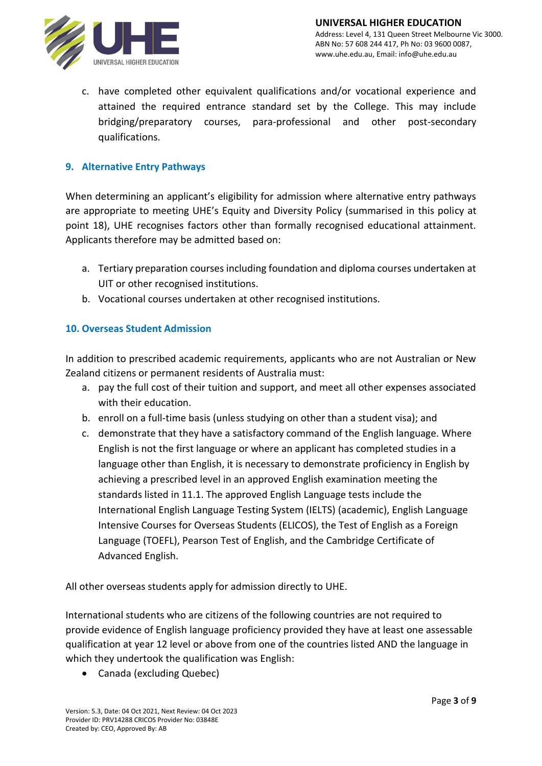

c. have completed other equivalent qualifications and/or vocational experience and attained the required entrance standard set by the College. This may include bridging/preparatory courses, para-professional and other post-secondary qualifications.

# **9. Alternative Entry Pathways**

When determining an applicant's eligibility for admission where alternative entry pathways are appropriate to meeting UHE's Equity and Diversity Policy (summarised in this policy at point 18), UHE recognises factors other than formally recognised educational attainment. Applicants therefore may be admitted based on:

- a. Tertiary preparation courses including foundation and diploma courses undertaken at UIT or other recognised institutions.
- b. Vocational courses undertaken at other recognised institutions.

# **10. Overseas Student Admission**

In addition to prescribed academic requirements, applicants who are not Australian or New Zealand citizens or permanent residents of Australia must:

- a. pay the full cost of their tuition and support, and meet all other expenses associated with their education.
- b. enroll on a full-time basis (unless studying on other than a student visa); and
- c. demonstrate that they have a satisfactory command of the English language. Where English is not the first language or where an applicant has completed studies in a language other than English, it is necessary to demonstrate proficiency in English by achieving a prescribed level in an approved English examination meeting the standards listed in 11.1. The approved English Language tests include the International English Language Testing System (IELTS) (academic), English Language Intensive Courses for Overseas Students (ELICOS), the Test of English as a Foreign Language (TOEFL), Pearson Test of English, and the Cambridge Certificate of Advanced English.

All other overseas students apply for admission directly to UHE.

International students who are citizens of the following countries are not required to provide evidence of English language proficiency provided they have at least one assessable qualification at year 12 level or above from one of the countries listed AND the language in which they undertook the qualification was English:

• Canada (excluding Quebec)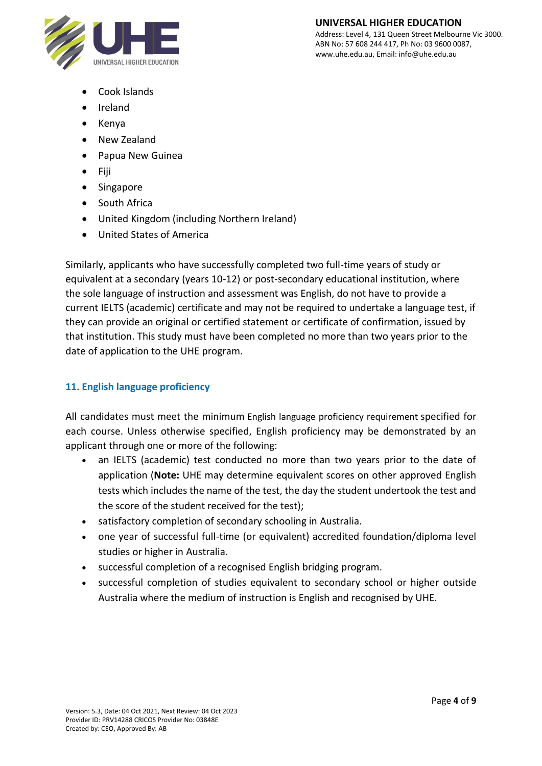

#### **UNIVERSAL HIGHER EDUCATION** Address: Level 4, 131 Queen Street Melbourne Vic 3000.

ABN No: 57 608 244 417, Ph No: 03 9600 0087, www.uhe.edu.au, Email: info@uhe.edu.au

- Cook Islands
- Ireland
- Kenya
- New Zealand
- Papua New Guinea
- Fiji
- Singapore
- South Africa
- United Kingdom (including Northern Ireland)
- United States of America

Similarly, applicants who have successfully completed two full-time years of study or equivalent at a secondary (years 10-12) or post-secondary educational institution, where the sole language of instruction and assessment was English, do not have to provide a current IELTS (academic) certificate and may not be required to undertake a language test, if they can provide an original or certified statement or certificate of confirmation, issued by that institution. This study must have been completed no more than two years prior to the date of application to the UHE program.

# **11. English language proficiency**

All candidates must meet the minimum [English language proficiency requirement](about:blank) specified for each course. Unless otherwise specified, English proficiency may be demonstrated by an applicant through one or more of the following:

- an IELTS (academic) test conducted no more than two years prior to the date of application (**Note:** UHE may determine equivalent scores on other approved English tests which includes the name of the test, the day the student undertook the test and the score of the student received for the test);
- satisfactory completion of secondary schooling in Australia.
- one year of successful full-time (or equivalent) accredited foundation/diploma level studies or higher in Australia.
- successful completion of a recognised English bridging program.
- successful completion of studies equivalent to secondary school or higher outside Australia where the medium of instruction is English and recognised by UHE.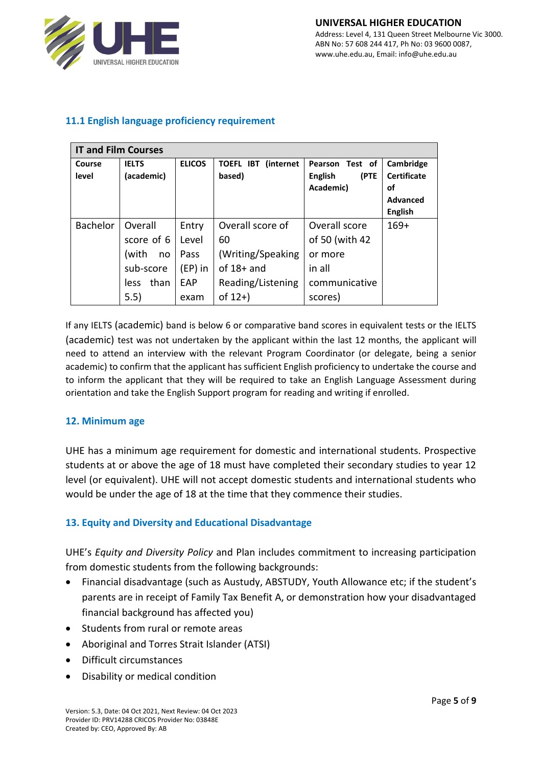

## **11.1 English language proficiency requirement**

| <b>IT and Film Courses</b> |              |               |                                |                 |                    |  |
|----------------------------|--------------|---------------|--------------------------------|-----------------|--------------------|--|
| Course                     | <b>IELTS</b> | <b>ELICOS</b> | <b>TOEFL IBT</b><br>(internet) | Pearson Test of | Cambridge          |  |
| level                      | (academic)   |               | based)                         | (PTE<br>English | <b>Certificate</b> |  |
|                            |              |               |                                | Academic)       | οf                 |  |
|                            |              |               |                                |                 | <b>Advanced</b>    |  |
|                            |              |               |                                |                 | <b>English</b>     |  |
| <b>Bachelor</b>            | Overall      | Entry         | Overall score of               | Overall score   | $169+$             |  |
|                            | score of 6   | Level         | 60                             | of 50 (with 42  |                    |  |
|                            | (with<br>no  | Pass          | (Writing/Speaking              | or more         |                    |  |
|                            | sub-score    | $(EP)$ in     | of $18+$ and                   | in all          |                    |  |
|                            | than<br>less | EAP           | Reading/Listening              | communicative   |                    |  |
|                            | 5.5)         | exam          | of $12+$ )                     | scores)         |                    |  |

If any IELTS (academic) band is below 6 or comparative band scores in equivalent tests or the IELTS (academic) test was not undertaken by the applicant within the last 12 months, the applicant will need to attend an interview with the relevant Program Coordinator (or delegate, being a senior academic) to confirm that the applicant has sufficient English proficiency to undertake the course and to inform the applicant that they will be required to take an English Language Assessment during orientation and take the English Support program for reading and writing if enrolled.

#### **12. Minimum age**

UHE has a minimum age requirement for domestic and international students. Prospective students at or above the age of 18 must have completed their secondary studies to year 12 level (or equivalent). UHE will not accept domestic students and international students who would be under the age of 18 at the time that they commence their studies.

#### **13. Equity and Diversity and Educational Disadvantage**

UHE's *Equity and Diversity Policy* and Plan includes commitment to increasing participation from domestic students from the following backgrounds:

- Financial disadvantage (such as Austudy, ABSTUDY, Youth Allowance etc; if the student's parents are in receipt of Family Tax Benefit A, or demonstration how your disadvantaged financial background has affected you)
- Students from rural or remote areas
- Aboriginal and Torres Strait Islander (ATSI)
- Difficult circumstances
- Disability or medical condition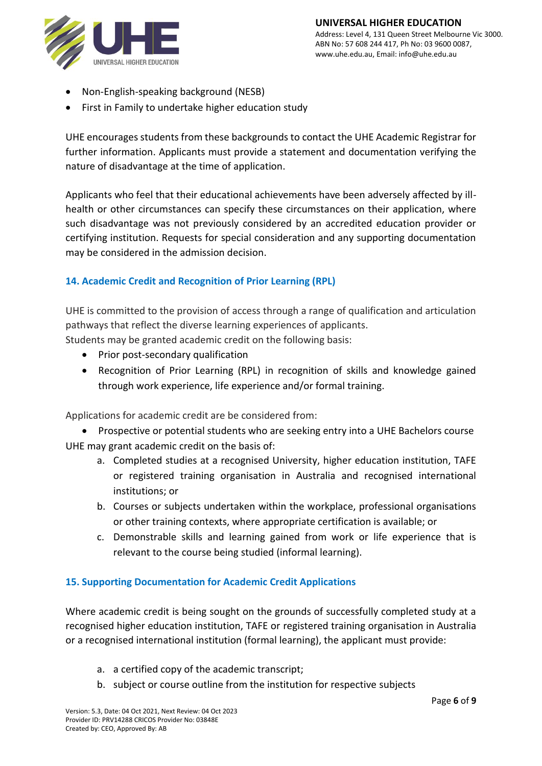

- Non-English-speaking background (NESB)
- First in Family to undertake higher education study

UHE encourages students from these backgrounds to contact the UHE Academic Registrar for further information. Applicants must provide a statement and documentation verifying the nature of disadvantage at the time of application.

Applicants who feel that their educational achievements have been adversely affected by illhealth or other circumstances can specify these circumstances on their application, where such disadvantage was not previously considered by an accredited education provider or certifying institution. Requests for special consideration and any supporting documentation may be considered in the admission decision.

# **14. Academic Credit and Recognition of Prior Learning (RPL)**

UHE is committed to the provision of access through a range of qualification and articulation pathways that reflect the diverse learning experiences of applicants.

Students may be granted academic credit on the following basis:

- Prior post-secondary qualification
- Recognition of Prior Learning (RPL) in recognition of skills and knowledge gained through work experience, life experience and/or formal training.

Applications for academic credit are be considered from:

- Prospective or potential students who are seeking entry into a UHE Bachelors course UHE may grant academic credit on the basis of:
	- a. Completed studies at a recognised University, higher education institution, TAFE or registered training organisation in Australia and recognised international institutions; or
	- b. Courses or subjects undertaken within the workplace, professional organisations or other training contexts, where appropriate certification is available; or
	- c. Demonstrable skills and learning gained from work or life experience that is relevant to the course being studied (informal learning).

# **15. Supporting Documentation for Academic Credit Applications**

Where academic credit is being sought on the grounds of successfully completed study at a recognised higher education institution, TAFE or registered training organisation in Australia or a recognised international institution (formal learning), the applicant must provide:

- a. a certified copy of the academic transcript;
- b. subject or course outline from the institution for respective subjects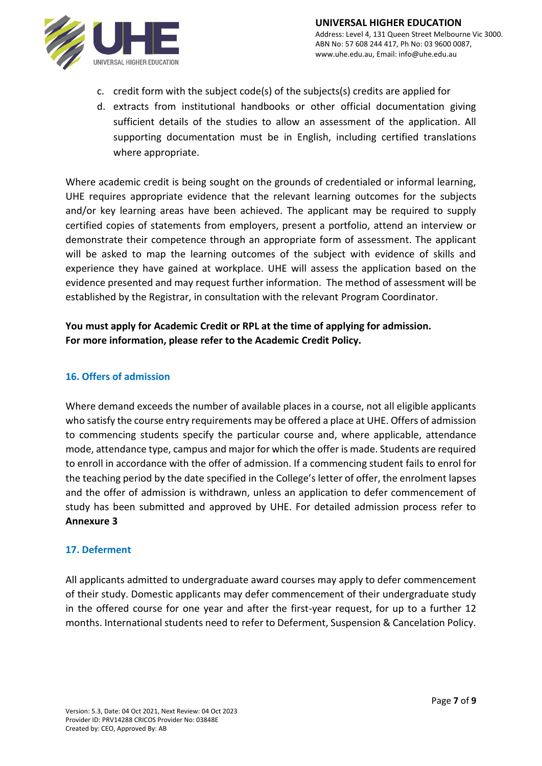

- c. credit form with the subject code(s) of the subjects(s) credits are applied for
- d. extracts from institutional handbooks or other official documentation giving sufficient details of the studies to allow an assessment of the application. All supporting documentation must be in English, including certified translations where appropriate.

Where academic credit is being sought on the grounds of credentialed or informal learning, UHE requires appropriate evidence that the relevant learning outcomes for the subjects and/or key learning areas have been achieved. The applicant may be required to supply certified copies of statements from employers, present a portfolio, attend an interview or demonstrate their competence through an appropriate form of assessment. The applicant will be asked to map the learning outcomes of the subject with evidence of skills and experience they have gained at workplace. UHE will assess the application based on the evidence presented and may request further information. The method of assessment will be established by the Registrar, in consultation with the relevant Program Coordinator.

# **You must apply for Academic Credit or RPL at the time of applying for admission. For more information, please refer to the Academic Credit Policy.**

### **16. Offers of admission**

Where demand exceeds the number of available places in a course, not all eligible applicants who satisfy the course entry requirements may be offered a place at UHE. Offers of admission to commencing students specify the particular course and, where applicable, attendance mode, attendance type, campus and major for which the offer is made. Students are required to enroll in accordance with the offer of admission. If a commencing student fails to enrol for the teaching period by the date specified in the College's letter of offer, the enrolment lapses and the offer of admission is withdrawn, unless an application to defer commencement of study has been submitted and approved by UHE. For detailed admission process refer to **Annexure 3**

#### **17. Deferment**

All applicants admitted to undergraduate award courses may apply to defer commencement of their study. Domestic applicants may defer commencement of their undergraduate study in the offered course for one year and after the first-year request, for up to a further 12 months. International students need to refer to Deferment, Suspension & Cancelation Policy.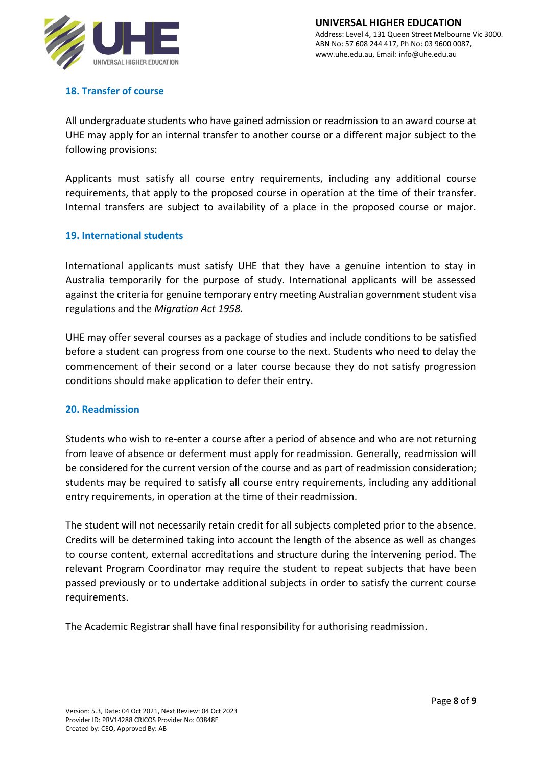

# **18. Transfer of course**

All undergraduate students who have gained admission or readmission to an award course at UHE may apply for an internal transfer to another course or a different major subject to the following provisions:

Applicants must satisfy all course entry requirements, including any additional course requirements, that apply to the proposed course in operation at the time of their transfer. Internal transfers are subject to availability of a place in the proposed course or major.

### **19. International students**

International applicants must satisfy UHE that they have a genuine intention to stay in Australia temporarily for the purpose of study. International applicants will be assessed against the criteria for genuine temporary entry meeting Australian government student visa regulations and the *Migration Act 1958*.

UHE may offer several courses as a package of studies and include conditions to be satisfied before a student can progress from one course to the next. Students who need to delay the commencement of their second or a later course because they do not satisfy progression conditions should make application to defer their entry.

#### **20. Readmission**

Students who wish to re-enter a course after a period of absence and who are not returning from leave of absence or deferment must apply for readmission. Generally, readmission will be considered for the current version of the course and as part of readmission consideration; students may be required to satisfy all course entry requirements, including any additional entry requirements, in operation at the time of their readmission.

The student will not necessarily retain credit for all subjects completed prior to the absence. Credits will be determined taking into account the length of the absence as well as changes to course content, external accreditations and structure during the intervening period. The relevant Program Coordinator may require the student to repeat subjects that have been passed previously or to undertake additional subjects in order to satisfy the current course requirements.

The Academic Registrar shall have final responsibility for authorising readmission.